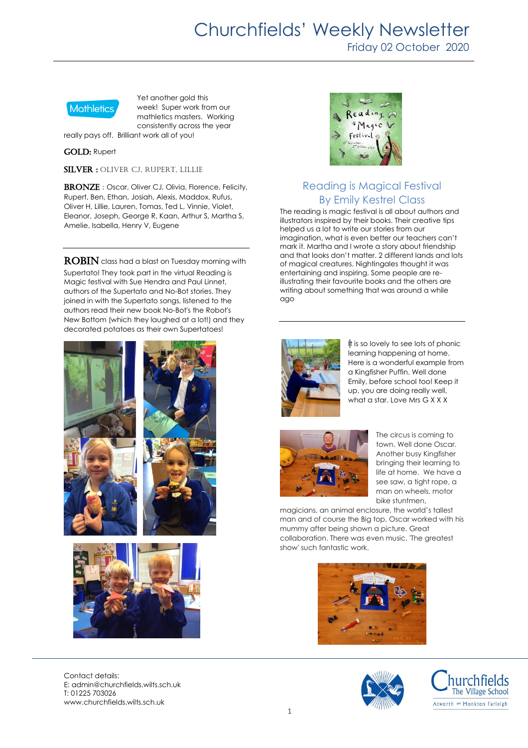# Churchfields' Weekly Newsletter Friday 02 October 2020



Yet another gold this week! Super work from our mathletics masters. Working consistently across the year really pays off. Brilliant work all of you!

**GOLD: Rupert** 

SILVER : OLIVER CJ, RUPERT, LILLIE

BRONZE: Oscar, Oliver CJ, Olivia, Florence, Felicity, Rupert, Ben, Ethan, Josiah, Alexis, Maddox, Rufus, Oliver H, Lillie, Lauren, Tomas, Ted L, Vinnie, Violet, Eleanor, Joseph, George R, Kaan, Arthur S, Martha S, Amelie, Isabella, Henry V, Eugene

**ROBIN** class had a blast on Tuesday morning with Supertato! They took part in the virtual Reading is Magic festival with Sue Hendra and Paul Linnet, authors of the Supertato and No-Bot stories. They joined in with the Supertato songs, listened to the authors read their new book No-Bot's the Robot's New Bottom (which they laughed at a lot!) and they decorated potatoes as their own Supertatoes!





Contact details: E: admin@churchfields.wilts.sch.uk T: 01225 703026 www.churchfields.wilts.sch.uk

![](_page_0_Picture_11.jpeg)

## Reading is Magical Festival By Emily Kestrel Class

The reading is magic festival is all about authors and illustrators inspired by their books. Their creative tips helped us a lot to write our stories from our imagination, what is even better our teachers can't mark it. Martha and I wrote a story about friendship and that looks don't matter. 2 different lands and lots of magical creatures. Nightingales thought it was entertaining and inspiring. Some people are reillustrating their favourite books and the others are writing about something that was around a while ago

![](_page_0_Picture_14.jpeg)

It is so lovely to see lots of phonic learning happening at home. Here is a wonderful example from a Kingfisher Puffin. Well done Emily, before school too! Keep it up, you are doing really well, what a star. Love Mrs G X X X

![](_page_0_Picture_16.jpeg)

The circus is coming to town. Well done Oscar. Another busy Kingfisher bringing their learning to life at home. We have a see saw, a tight rope, a man on wheels, motor bike stuntmen,

magicians, an animal enclosure, the world's tallest man and of course the Big top. Oscar worked with his mummy after being shown a picture. Great collaboration. There was even music, 'The greatest show' such fantastic work.

![](_page_0_Picture_19.jpeg)

![](_page_0_Picture_20.jpeg)

![](_page_0_Picture_21.jpeg)